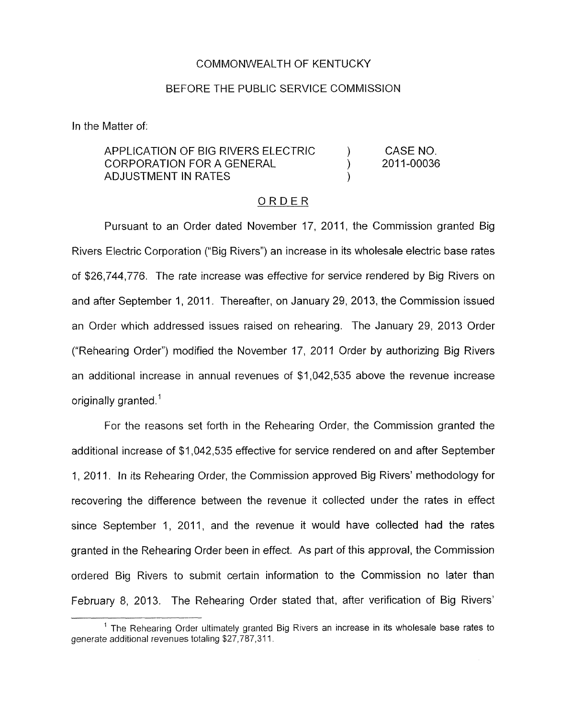## COMMONWEALTH OF KENTUCKY

## BEFORE THE PUBLIC SERVICE COMMISSION

In the Matter of:

## CASE NO. 2011-00036 APPLICATION OF BIG RIVERS ELECTRIC ) CORPORATION FOR A GENERAL ) ADJUSTMENT IN RATES

## ORDER

Pursuant to an Order dated November 17, 2011, the Commission granted Big Rivers Electric Corporation ("Big Rivers") an increase in its wholesale electric base rates of \$26,744,776. The rate increase was effective for service rendered by Big Rivers on and after September 1, 2011. Thereafter, on January 29, 2013, the Commission issued an Order which addressed issues raised on rehearing. The January 29, 2013 Order ("Rehearing Order") modified the November 17, 2011 Order by authorizing Big Rivers an additional increase in annual revenues of \$1,042,535 above the revenue increase originally granted. $<sup>1</sup>$ </sup>

For the reasons set forth in the Rehearing Order, the Commission granted the additional increase of \$1,042,535 effective for service rendered on and after September 1, 2011. In its Rehearing Order, the Commission approved Big Rivers' methodology for recovering the difference between the revenue it collected under the rates in effect since September 1, 2011, and the revenue it would have collected had the rates granted in the Rehearing Order been in effect. As part of this approval, the Commission ordered Big Rivers to submit certain information to the Commission no later than February 8, 2013. The Rehearing Order stated that, after verification of Big Rivers'

 $<sup>1</sup>$  The Rehearing Order ultimately granted Big Rivers an increase in its wholesale base rates to</sup> generate additional revenues totaling \$27,787,311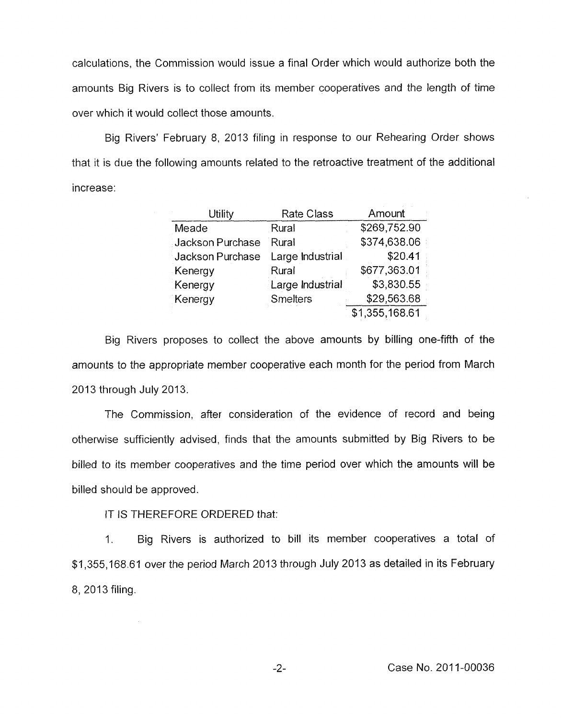calculations, the Commission would issue a final Order which would authorize both the amounts Big Rivers is to collect from its member cooperatives and the length of time over which it would collect those amounts.

Big Rivers' February 8, 2013 filing in response to our Rehearing Order shows that it is due the following amounts related to the retroactive treatment of the additional increase :

| <b>Utility</b>   | <b>Rate Class</b> | Amount         |
|------------------|-------------------|----------------|
| Meade            | Rural             | \$269,752.90   |
| Jackson Purchase | Rural             | \$374,638.06   |
| Jackson Purchase | Large Industrial  | \$20.41        |
| Kenergy          | Rural             | \$677,363.01   |
| Kenergy          | Large Industrial  | \$3,830.55     |
| Kenergy          | <b>Smelters</b>   | \$29,563.68    |
|                  |                   | \$1,355,168.61 |

Big Rivers proposes to collect the above amounts by billing one-fifth of the amounts to the appropriate member cooperative each month for the period from March 2013 through July 2013.

The Commission, after consideration of the evidence of record and being otherwise sufficiently advised, finds that the amounts submitted by Big Rivers to be billed to its member cooperatives and the time period over which the amounts will be billed should be approved

IT IS THEREFORE ORDERED that:

1. Big Rivers is authorized to bill its member cooperatives a total of \$4,355,168.61 over the period March 2013 through July 2013 as detailed in its February 8, 2013 filing.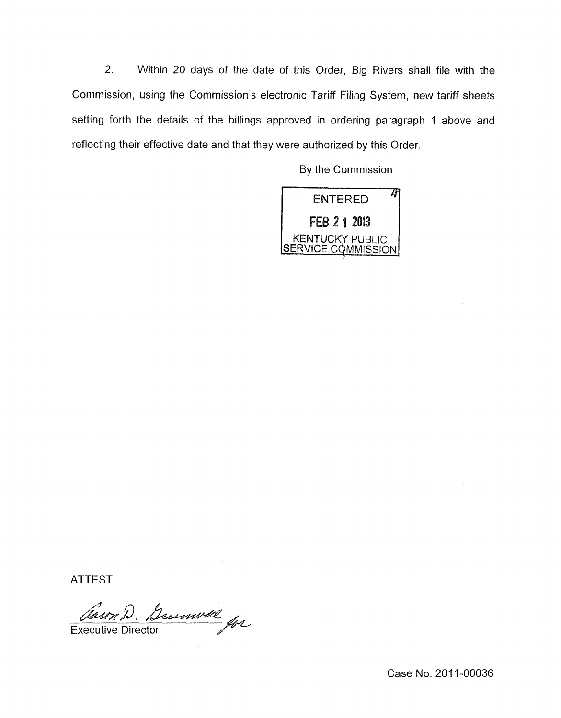*2.* Within 20 days of the date of this Order, Big Rivers shall file with the Commission, using the Commission's electronic Tariff Filing System, new tariff sheets setting forth the details of the billings approved in ordering paragraph 1 above and reflecting their effective date and that they were authorized by this Order

By the Commission



ATTEST:

Carn D. Dumwell Executive Director

Case No. 2011-00036